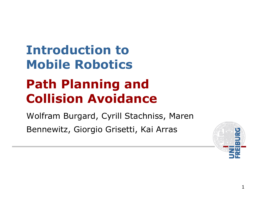## Introduction toMobile Robotics

#### Path Planning and Collision Avoidance

Wolfram Burgard, Cyrill Stachniss, Maren Bennewitz, Giorgio Grisetti, Kai Arras

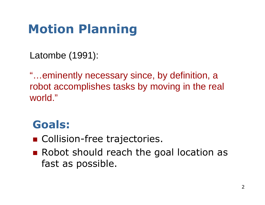## Motion Planning

Latombe (1991):

"…eminently necessary since, by definition, a robot accomplishes tasks by moving in the real world."

#### Goals:

- Collision-free trajectories.
- Robot should reach the goal location as fast as possible.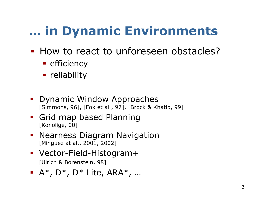## … in Dynamic Environments

- **How to react to unforeseen obstacles?** 
	- **-** efficiency
	- reliability
- Dynamic Window Approaches[Simmons, 96], [Fox et al., 97], [Brock & Khatib, 99]
- **-** Grid map based Planning [Konolige, 00]
- **-** Nearness Diagram Navigation [Minguez at al., 2001, 2002]
- Vector-Field-Histogram+[Ulrich & Borenstein, 98]
- $\blacksquare$  A\*, D\*, D\* Lite, ARA\*, ...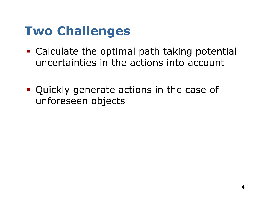#### Two Challenges

- Calculate the optimal path taking potential uncertainties in the actions into account
- Quickly generate actions in the case of unforeseen objects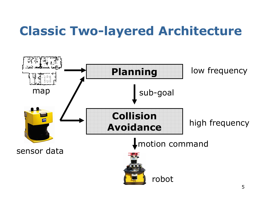### Classic Two-layered Architecture

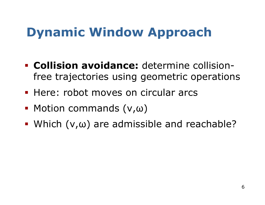- Collision avoidance: determine collisionfree trajectories using geometric operations
- **Here: robot moves on circular arcs**
- Motion commands (ν,ω)
- $\blacksquare$  Which  $(v,\omega)$  are admissible and reachable?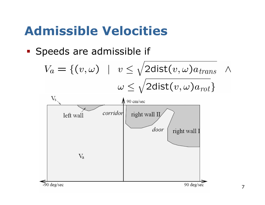#### Admissible Velocities

- Speeds are admissible if

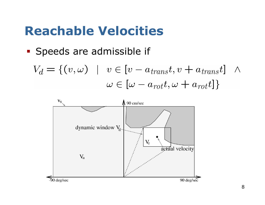#### Reachable Velocities

- Speeds are admissible if
	- $V_d = \{ (v, \omega) \mid v \in [v a_{trans}t, v + a_{trans}t] \}$  $\Lambda$  $\omega \in [\omega - a_{rot}t, \omega + a_{rot}t]$

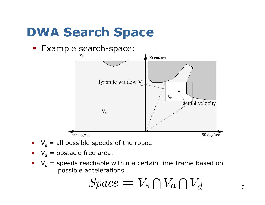## DWA Search Space

-Example search-space:



- $V<sub>s</sub>$  = all possible speeds of the robot.
- $\bullet$   $V_a$  = obstacle free area.
- $V_d$  = speeds reachable within a certain time frame based on possible accelerations.

$$
Space = V_s \cap V_a \cap V_d
$$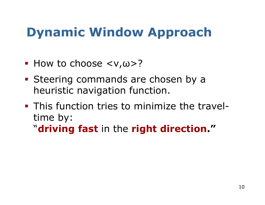- $\blacksquare$  How to choose  $\langle v, \omega \rangle$ ?
- **Steering commands are chosen by a** heuristic navigation function.
- This function tries to minimize the traveltime by:"**driving fast** in the **right direction."**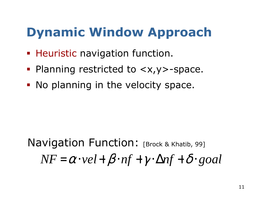- **Heuristic navigation function.**
- Planning restricted to <x,y>-space.
- No planning in the velocity space.

*NF*=α⋅*vel*+ $\beta$   $\cdot$  *nf* +  $\gamma$   $\cdot$   $\Delta$ *nf* +  $\delta$   $\cdot$  *goal* Navigation Function: [Brock & Khatib, 99]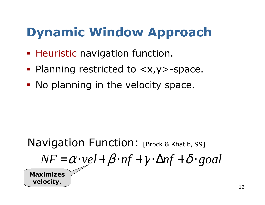- **Heuristic navigation function.**
- Planning restricted to <x,y>-space.
- No planning in the velocity space.

#### $NF = \alpha \cdot vel + \beta \cdot nf + \gamma \cdot \Delta nf + \delta \cdot goal$ Navigation Function: [Brock & Khatib, 99] Maximizes velocity.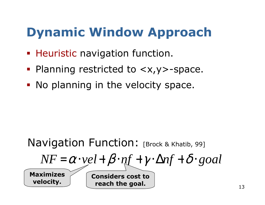- **Heuristic navigation function.**
- Planning restricted to <x,y>-space.
- No planning in the velocity space.

#### Navigation Function: [Brock & Khatib, 99]

$$
\underline{NF} = \alpha \cdot vel + \beta \cdot nf + \gamma \cdot \Delta nf + \delta \cdot goal
$$

Maximizes velocity.

Considers cost to reach the goal.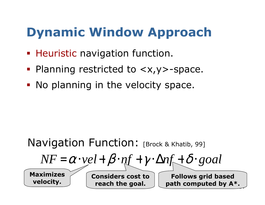- **Heuristic navigation function.**
- Planning restricted to <x,y>-space.
- No planning in the velocity space.

#### Navigation Function: [Brock & Khatib, 99]

$$
NF = \alpha \cdot vel + \beta \cdot nf + \gamma \cdot \Delta nf + \delta \cdot goal
$$

Maximizes velocity.

Considers cost to reach the goal.

 $\overline{\phantom{a}}$ Follows grid based path computed by A\*.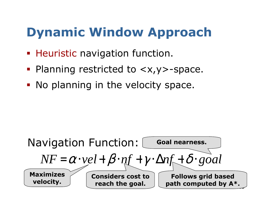- **Heuristic navigation function.**
- Planning restricted to <x,y>-space.
- No planning in the velocity space.

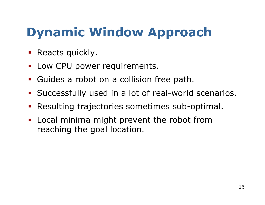- Reacts quickly.
- -Low CPU power requirements.
- -Guides a robot on a collision free path.
- -Successfully used in a lot of real-world scenarios.
- -Resulting trajectories sometimes sub-optimal.
- - Local minima might prevent the robot from reaching the goal location.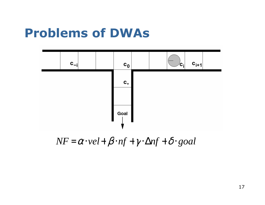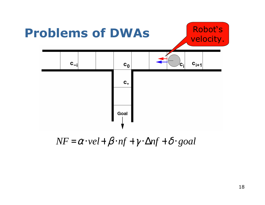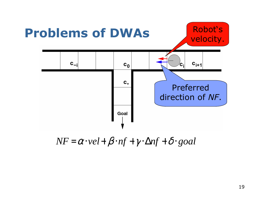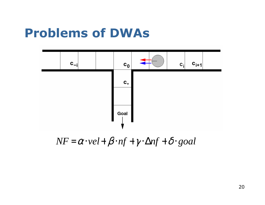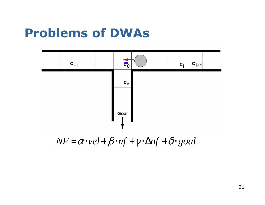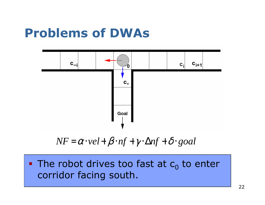

$$
NF = \alpha \cdot vel + \beta \cdot nf + \gamma \cdot \Delta nf + \delta \cdot goal
$$

#### $\blacksquare$  The robot drives too fast at  $\mathsf{c}_0$  $_0$  to enter corridor facing south.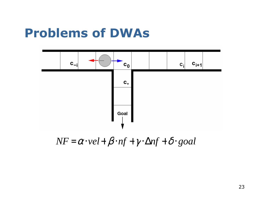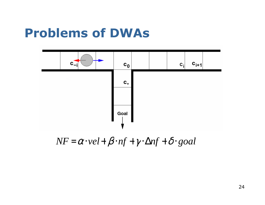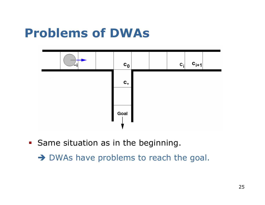

**Same situation as in the beginning.** 

→ DWAs have problems to reach the goal.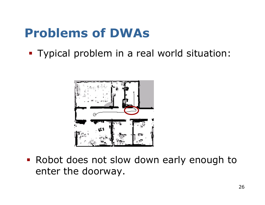- Typical problem in a real world situation:



**- Robot does not slow down early enough to** enter the doorway.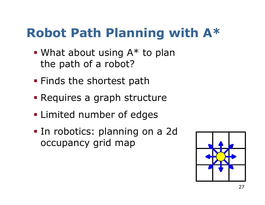#### Robot Path Planning with A\*

- What about using A\* to plan the path of a robot?
- **Finds the shortest path**
- Requires a graph structure
- **-** Limited number of edges
- In robotics: planning on a 2d occupancy grid map

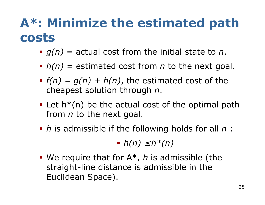#### A\*: Minimize the estimated path costs

- $g(n)$  = actual cost from the initial state to n.
- $h(n)$  = estimated cost from *n* to the next goal.
- $f(n) = g(n) + h(n)$ , the estimated cost of the cheapest solution through n.
- **•** Let  $h^*(n)$  be the actual cost of the optimal path from  $n$  to the next goal.
- $\blacksquare$  h is admissible if the following holds for all  $n$  :

 $h(n) \leq h^*(n)$ 

**We require that for**  $A^*$ **,** *h* **is admissible (the** straight-line distance is admissible in the straight-line distance is admissible in the Euclidean Space).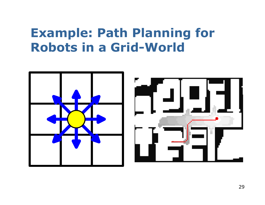#### Example: Path Planning for Robots in a Grid-World



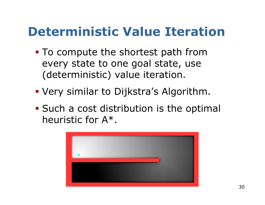#### Deterministic Value Iteration

- To compute the shortest path from every state to one goal state, use (deterministic) value iteration.
- Very similar to Dijkstra's Algorithm.
- **Such a cost distribution is the optimal** heuristic for A\*.

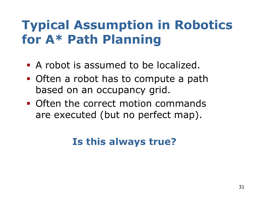#### Typical Assumption in Robotics for A\* Path Planning

- A robot is assumed to be localized.
- Often a robot has to compute a path based on an occupancy grid.
- **Often the correct motion commands** are executed (but no perfect map).

#### Is this always true?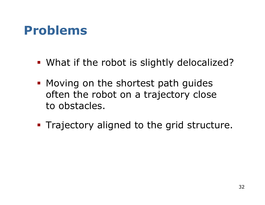#### Problems

- What if the robot is slightly delocalized?
- **Moving on the shortest path guides** often the robot on a trajectory close to obstacles.
- Trajectory aligned to the grid structure.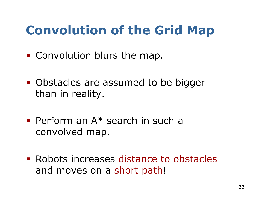## Convolution of the Grid Map

- Convolution blurs the map.
- Obstacles are assumed to be bigger than in reality.
- Perform an A\* search in such a convolved map.
- **Exercise increases distance to obstacles** and moves on a short path!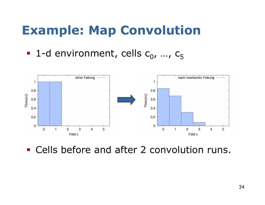#### Example: Map Convolution

 $-$  1-d environment, cells  $c_0$ , ...,  $c_5$ 



- Cells before and after 2 convolution runs.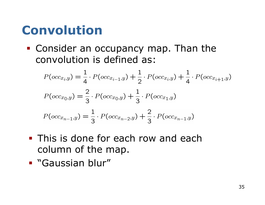#### Convolution

- Consider an occupancy map. Than the convolution is defined as:

$$
P(occ_{x_i,y}) = \frac{1}{4} \cdot P(occ_{x_{i-1},y}) + \frac{1}{2} \cdot P(occ_{x_i,y}) + \frac{1}{4} \cdot P(occ_{x_{i+1},y})
$$
  

$$
P(occ_{x_0,y}) = \frac{2}{3} \cdot P(occ_{x_0,y}) + \frac{1}{3} \cdot P(occ_{x_1,y})
$$
  

$$
P(occ_{x_{n-1},y}) = \frac{1}{3} \cdot P(occ_{x_{n-2},y}) + \frac{2}{3} \cdot P(occ_{x_{n-1},y})
$$

- **This is done for each row and each** column of the map.
- "Gaussian blur"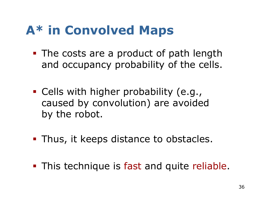### A\* in Convolved Maps

- The costs are a product of path length and occupancy probability of the cells.
- Cells with higher probability (e.g., caused by convolution) are avoided by the robot.
- Thus, it keeps distance to obstacles.
- **-** This technique is fast and quite reliable.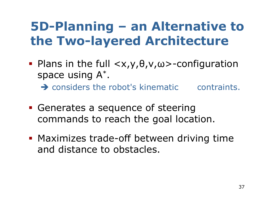#### 5D-Planning – an Alternative to the Two-layered Architecture

 $\blacksquare$  Plans in the full  $\langle x,y,\theta,v,\omega\rangle$ -configuration space using  $\mathsf{A}^{*}$ .

 $\rightarrow$  considers the robot's kinematic contraints.

- Generates a sequence of steering commands to reach the goal location.
- **Maximizes trade-off between driving time** and distance to obstacles.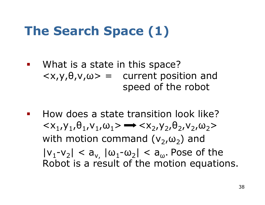### The Search Space (1)

- - What is a state in this space? $\langle x,y,\theta,v,\omega\rangle =$  current position and speed of the robot
- - How does a state transition look like? $\langle x_1, y_1, \theta_1, v_1, \omega_1 \rangle \rightarrow \langle x_2, y_2, \theta_2, v_2, \omega_2 \rangle$ with motion command  $(v_2,\omega_2)$  and  $|v_1\hbox{-} v_2| < a_{v,\parallel}|\omega_1\hbox{-}\omega_2| < a_{\omega}.$  Pose of the<br>Robot is a result of the motion equation Robot is a result of the motion equations.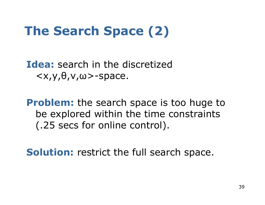## The Search Space (2)

Idea: search in the discretized  $\langle x,y,\theta,v,\omega\rangle$ -space.

**Problem:** the search space is too huge to be explored within the time constraints (.25 secs for online control).

Solution: restrict the full search space.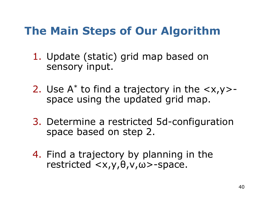#### The Main Steps of Our Algorithm

- 1. Update (static) grid map based on sensory input.
- 2. Use A\* to find a trajectory in the <x,y>space using the updated grid map.
- 3. Determine a restricted 5d-configuration space based on step 2.
- 4. Find a trajectory by planning in the  $restricted$ -space.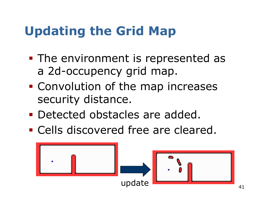## Updating the Grid Map

- $\mathcal{L}_{\mathcal{A}}$ **The environment is represented as** a 2d-occupency grid map.
- $\mathcal{L}_{\mathcal{A}}$ **Convolution of the map increases** security distance.
- $\mathcal{L}_{\mathcal{A}}$ Detected obstacles are added.
- -**• Cells discovered free are cleared.**

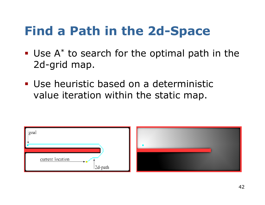#### Find a Path in the 2d-Space

- $\blacksquare$  Use  $A^*$  to search for the optimal path in the 2d-grid map.
- Use heuristic based on a deterministic value iteration within the static map.

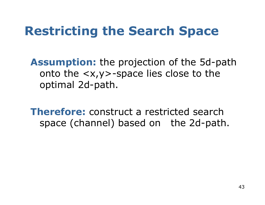#### Restricting the Search Space

Assumption: the projection of the 5d-path onto the <x,y>-space lies close to the optimal 2d-path.

**Therefore:** construct a restricted search space (channel) based on the 2d-path.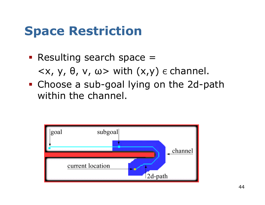#### Space Restriction

- Resulting search space =  $\langle x, y, \theta, v, \omega \rangle$  with  $(x,y)$   $\epsilon$  channel.
- Choose a sub-goal lying on the 2d-path within the channel.

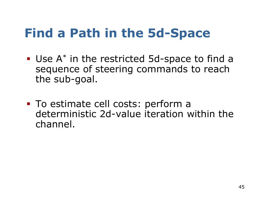#### Find a Path in the 5d-Space

- Use A<sup>\*</sup> in the restricted 5d-space to find a sequence of steering commands to reach the sub-goal.
- To estimate cell costs: perform a deterministic 2d-value iteration within the channel.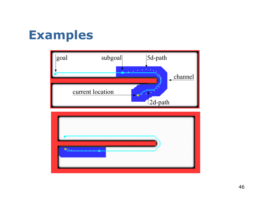#### Examples



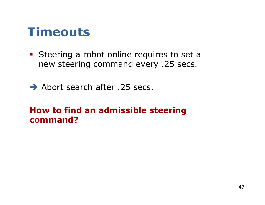#### **Timeouts**

- **Steering a robot online requires to set a** new steering command every .25 secs.
- Abort search after .25 secs.

#### How to find an admissible steering command?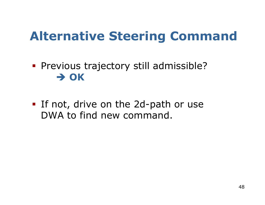#### Alternative Steering Command

- Previous trajectory still admissible?  $\rightarrow$  OK
- If not, drive on the 2d-path or use DWA to find new command.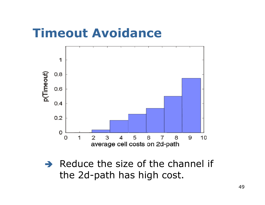#### Timeout Avoidance



 $\rightarrow$  Reduce the size of the channel if<br>the 2d-path has high cost the 2d-path has high cost.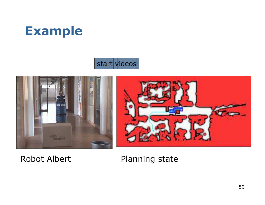

#### start videos



Robot Albert Planning state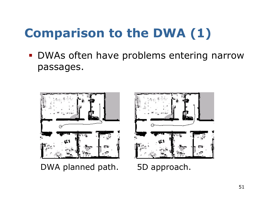# Comparison to the DWA (1)

- DWAs often have problems entering narrow passages.



DWA planned path. 5D approach.

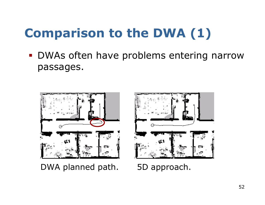# Comparison to the DWA (1)

- DWAs often have problems entering narrow passages.



DWA planned path. 5D approach.

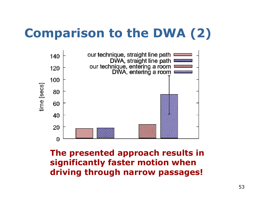#### Comparison to the DWA (2)



The presented approach results in significantly faster motion when driving through narrow passages!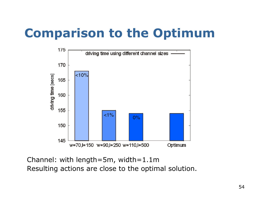#### Comparison to the Optimum



Channel: with length=5m, width=1.1mResulting actions are close to the optimal solution.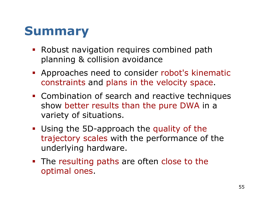#### Summary

- **Robust navigation requires combined path** planning & collision avoidance
- **Approaches need to consider robot's kinematic** constraints and plans in the velocity space.
- **-** Combination of search and reactive techniques show better results than the pure DWA in a variety of situations.
- **Using the 5D-approach the quality of the** trajectory scales with the performance of the underlying hardware.
- **The resulting paths are often close to the** optimal ones.